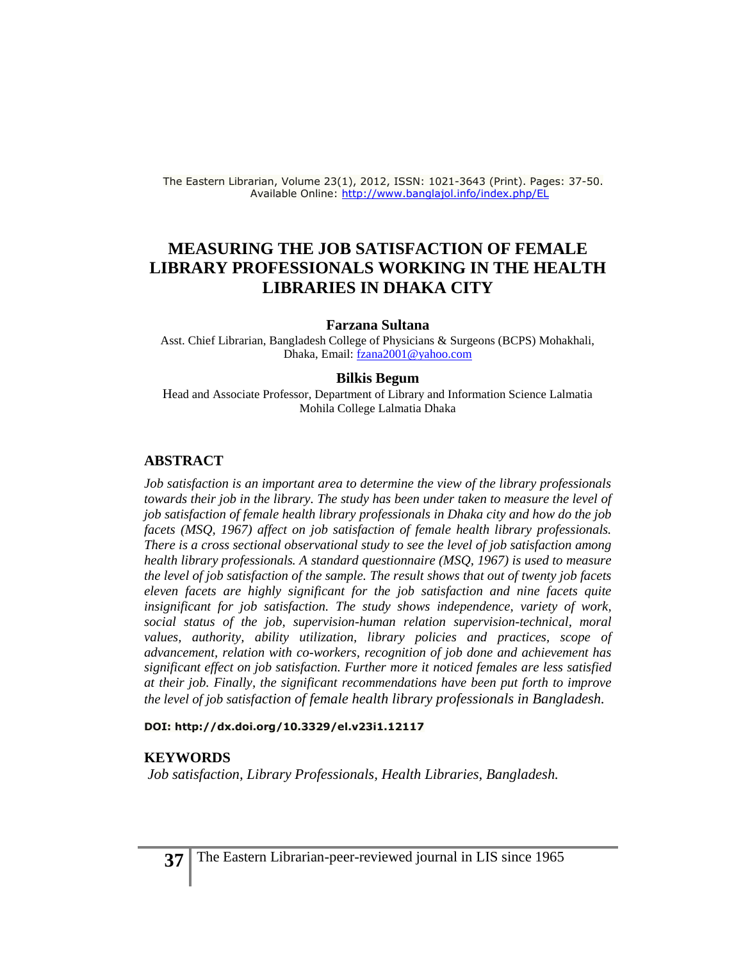The Eastern Librarian, Volume 23(1), 2012, ISSN: 1021-3643 (Print). Pages: 37-50. Available Online:<http://www.banglajol.info/index.php/EL>

# **MEASURING THE JOB SATISFACTION OF FEMALE LIBRARY PROFESSIONALS WORKING IN THE HEALTH LIBRARIES IN DHAKA CITY**

#### **Farzana Sultana**

Asst. Chief Librarian, Bangladesh College of Physicians & Surgeons (BCPS) Mohakhali, Dhaka, Email: [fzana2001@yahoo.com](mailto:fzana2001@yahoo.com)

#### **Bilkis Begum**

Head and Associate Professor, Department of Library and Information Science Lalmatia Mohila College Lalmatia Dhaka

#### **ABSTRACT**

*Job satisfaction is an important area to determine the view of the library professionals towards their job in the library. The study has been under taken to measure the level of job satisfaction of female health library professionals in Dhaka city and how do the job facets (MSQ, 1967) affect on job satisfaction of female health library professionals. There is a cross sectional observational study to see the level of job satisfaction among health library professionals. A standard questionnaire (MSQ, 1967) is used to measure the level of job satisfaction of the sample. The result shows that out of twenty job facets eleven facets are highly significant for the job satisfaction and nine facets quite insignificant for job satisfaction. The study shows independence, variety of work, social status of the job, supervision-human relation supervision-technical, moral values, authority, ability utilization, library policies and practices, scope of advancement, relation with co-workers, recognition of job done and achievement has significant effect on job satisfaction. Further more it noticed females are less satisfied at their job. Finally, the significant recommendations have been put forth to improve the level of job satisfaction of female health library professionals in Bangladesh.*

#### **DOI:<http://dx.doi.org/10.3329/el.v23i1.12117>**

#### **KEYWORDS**

*Job satisfaction, Library Professionals, Health Libraries, Bangladesh.*

**37** The Eastern Librarian-peer-reviewed journal in LIS since 1965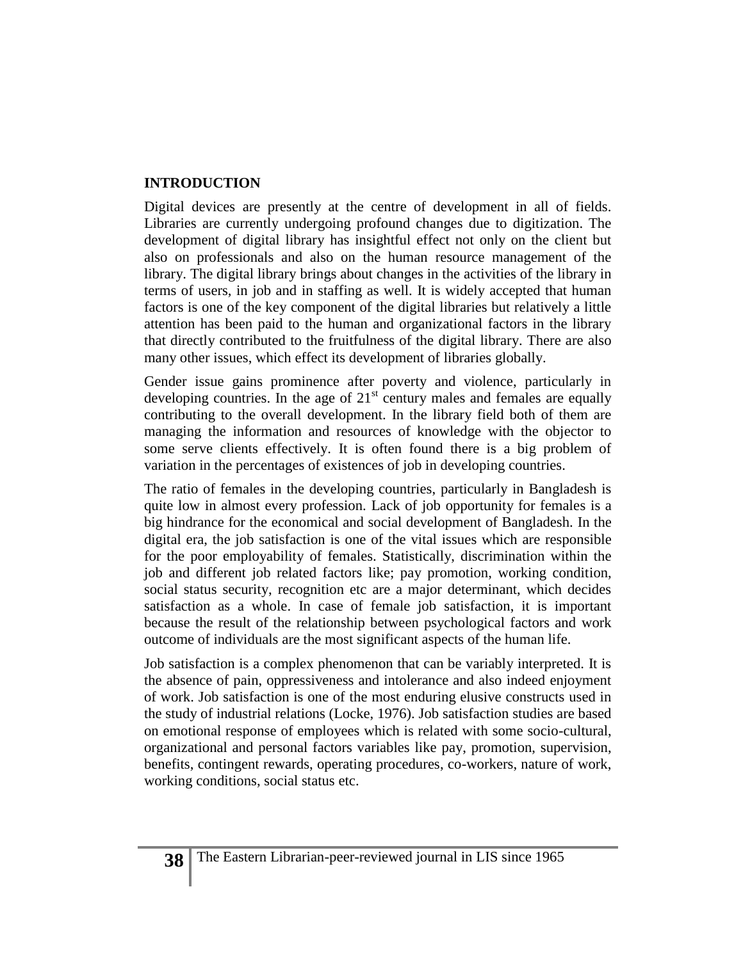#### **INTRODUCTION**

Digital devices are presently at the centre of development in all of fields. Libraries are currently undergoing profound changes due to digitization. The development of digital library has insightful effect not only on the client but also on professionals and also on the human resource management of the library. The digital library brings about changes in the activities of the library in terms of users, in job and in staffing as well. It is widely accepted that human factors is one of the key component of the digital libraries but relatively a little attention has been paid to the human and organizational factors in the library that directly contributed to the fruitfulness of the digital library. There are also many other issues, which effect its development of libraries globally.

Gender issue gains prominence after poverty and violence, particularly in developing countries. In the age of  $21<sup>st</sup>$  century males and females are equally contributing to the overall development. In the library field both of them are managing the information and resources of knowledge with the objector to some serve clients effectively. It is often found there is a big problem of variation in the percentages of existences of job in developing countries.

The ratio of females in the developing countries, particularly in Bangladesh is quite low in almost every profession. Lack of job opportunity for females is a big hindrance for the economical and social development of Bangladesh. In the digital era, the job satisfaction is one of the vital issues which are responsible for the poor employability of females. Statistically, discrimination within the job and different job related factors like; pay promotion, working condition, social status security, recognition etc are a major determinant, which decides satisfaction as a whole. In case of female job satisfaction, it is important because the result of the relationship between psychological factors and work outcome of individuals are the most significant aspects of the human life.

Job satisfaction is a complex phenomenon that can be variably interpreted. It is the absence of pain, oppressiveness and intolerance and also indeed enjoyment of work. Job satisfaction is one of the most enduring elusive constructs used in the study of industrial relations (Locke, 1976). Job satisfaction studies are based on emotional response of employees which is related with some socio-cultural, organizational and personal factors variables like pay, promotion, supervision, benefits, contingent rewards, operating procedures, co-workers, nature of work, working conditions, social status etc.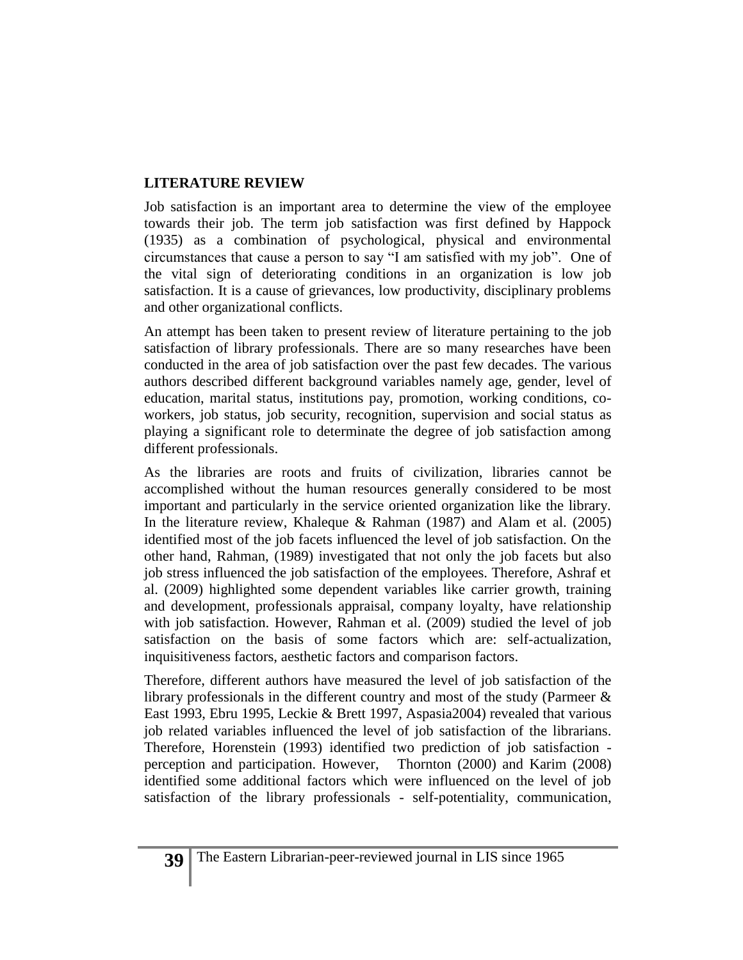# **LITERATURE REVIEW**

Job satisfaction is an important area to determine the view of the employee towards their job. The term job satisfaction was first defined by Happock (1935) as a combination of psychological, physical and environmental circumstances that cause a person to say "I am satisfied with my job". One of the vital sign of deteriorating conditions in an organization is low job satisfaction. It is a cause of grievances, low productivity, disciplinary problems and other organizational conflicts.

An attempt has been taken to present review of literature pertaining to the job satisfaction of library professionals. There are so many researches have been conducted in the area of job satisfaction over the past few decades. The various authors described different background variables namely age, gender, level of education, marital status, institutions pay, promotion, working conditions, coworkers, job status, job security, recognition, supervision and social status as playing a significant role to determinate the degree of job satisfaction among different professionals.

As the libraries are roots and fruits of civilization, libraries cannot be accomplished without the human resources generally considered to be most important and particularly in the service oriented organization like the library. In the literature review, Khaleque & Rahman (1987) and Alam et al. (2005) identified most of the job facets influenced the level of job satisfaction. On the other hand, Rahman, (1989) investigated that not only the job facets but also job stress influenced the job satisfaction of the employees. Therefore, Ashraf et al. (2009) highlighted some dependent variables like carrier growth, training and development, professionals appraisal, company loyalty, have relationship with job satisfaction. However, Rahman et al. (2009) studied the level of job satisfaction on the basis of some factors which are: self-actualization, inquisitiveness factors, aesthetic factors and comparison factors.

Therefore, different authors have measured the level of job satisfaction of the library professionals in the different country and most of the study (Parmeer & East 1993, Ebru 1995, Leckie & Brett 1997, Aspasia2004) revealed that various job related variables influenced the level of job satisfaction of the librarians. Therefore, Horenstein (1993) identified two prediction of job satisfaction perception and participation. However, Thornton (2000) and Karim (2008) identified some additional factors which were influenced on the level of job satisfaction of the library professionals - self-potentiality, communication,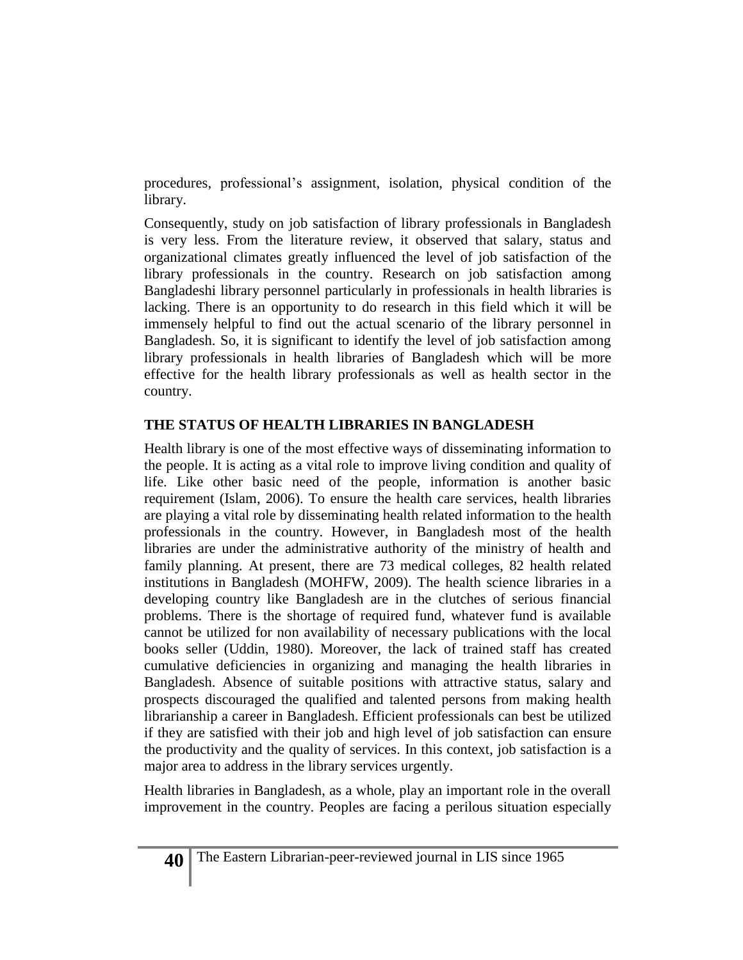procedures, professional's assignment, isolation, physical condition of the library.

Consequently, study on job satisfaction of library professionals in Bangladesh is very less. From the literature review, it observed that salary, status and organizational climates greatly influenced the level of job satisfaction of the library professionals in the country. Research on job satisfaction among Bangladeshi library personnel particularly in professionals in health libraries is lacking. There is an opportunity to do research in this field which it will be immensely helpful to find out the actual scenario of the library personnel in Bangladesh. So, it is significant to identify the level of job satisfaction among library professionals in health libraries of Bangladesh which will be more effective for the health library professionals as well as health sector in the country.

# **THE STATUS OF HEALTH LIBRARIES IN BANGLADESH**

Health library is one of the most effective ways of disseminating information to the people. It is acting as a vital role to improve living condition and quality of life. Like other basic need of the people, information is another basic requirement (Islam, 2006). To ensure the health care services, health libraries are playing a vital role by disseminating health related information to the health professionals in the country. However, in Bangladesh most of the health libraries are under the administrative authority of the ministry of health and family planning. At present, there are 73 medical colleges, 82 health related institutions in Bangladesh (MOHFW, 2009). The health science libraries in a developing country like Bangladesh are in the clutches of serious financial problems. There is the shortage of required fund, whatever fund is available cannot be utilized for non availability of necessary publications with the local books seller (Uddin, 1980). Moreover, the lack of trained staff has created cumulative deficiencies in organizing and managing the health libraries in Bangladesh. Absence of suitable positions with attractive status, salary and prospects discouraged the qualified and talented persons from making health librarianship a career in Bangladesh. Efficient professionals can best be utilized if they are satisfied with their job and high level of job satisfaction can ensure the productivity and the quality of services. In this context, job satisfaction is a major area to address in the library services urgently.

Health libraries in Bangladesh, as a whole, play an important role in the overall improvement in the country. Peoples are facing a perilous situation especially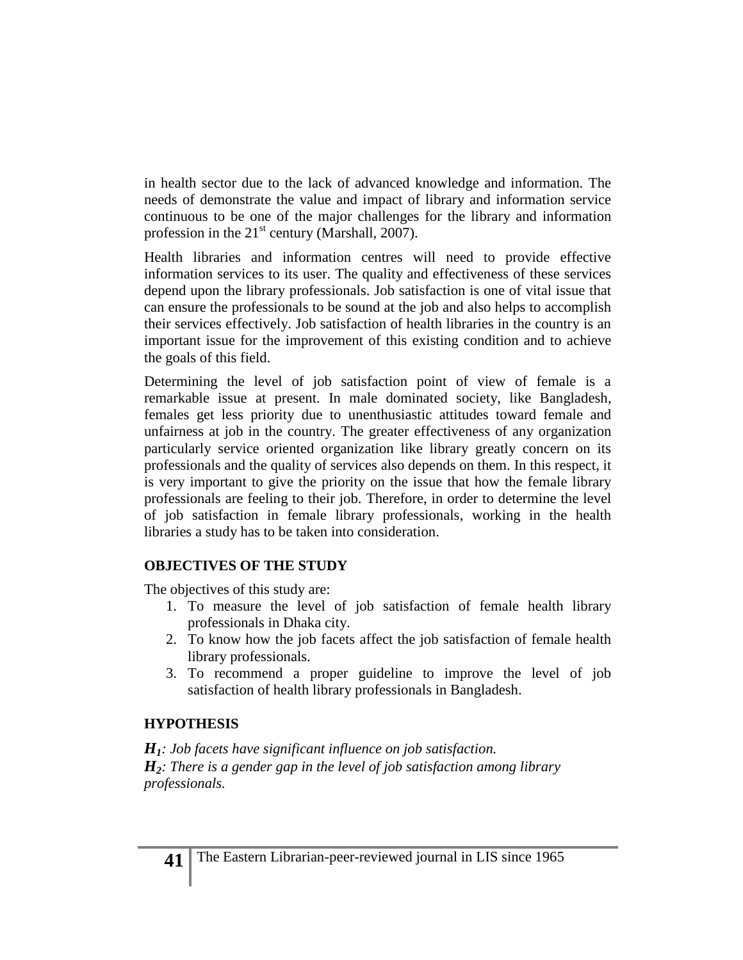in health sector due to the lack of advanced knowledge and information. The needs of demonstrate the value and impact of library and information service continuous to be one of the major challenges for the library and information profession in the  $21<sup>st</sup>$  century (Marshall, 2007).

Health libraries and information centres will need to provide effective information services to its user. The quality and effectiveness of these services depend upon the library professionals. Job satisfaction is one of vital issue that can ensure the professionals to be sound at the job and also helps to accomplish their services effectively. Job satisfaction of health libraries in the country is an important issue for the improvement of this existing condition and to achieve the goals of this field.

Determining the level of job satisfaction point of view of female is a remarkable issue at present. In male dominated society, like Bangladesh, females get less priority due to unenthusiastic attitudes toward female and unfairness at job in the country. The greater effectiveness of any organization particularly service oriented organization like library greatly concern on its professionals and the quality of services also depends on them. In this respect, it is very important to give the priority on the issue that how the female library professionals are feeling to their job. Therefore, in order to determine the level of job satisfaction in female library professionals, working in the health libraries a study has to be taken into consideration.

# **OBJECTIVES OF THE STUDY**

The objectives of this study are:

- 1. To measure the level of job satisfaction of female health library professionals in Dhaka city.
- 2. To know how the job facets affect the job satisfaction of female health library professionals.
- 3. To recommend a proper guideline to improve the level of job satisfaction of health library professionals in Bangladesh.

# **HYPOTHESIS**

*H1: Job facets have significant influence on job satisfaction. H2: There is a gender gap in the level of job satisfaction among library professionals.*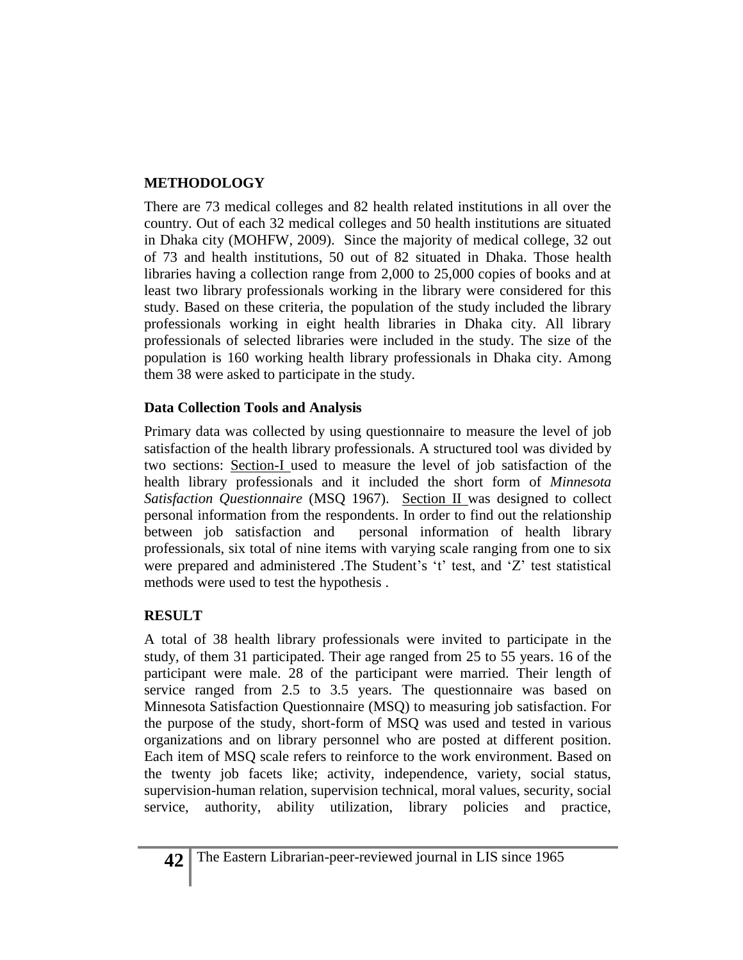#### **METHODOLOGY**

There are 73 medical colleges and 82 health related institutions in all over the country. Out of each 32 medical colleges and 50 health institutions are situated in Dhaka city (MOHFW, 2009). Since the majority of medical college, 32 out of 73 and health institutions, 50 out of 82 situated in Dhaka. Those health libraries having a collection range from 2,000 to 25,000 copies of books and at least two library professionals working in the library were considered for this study. Based on these criteria, the population of the study included the library professionals working in eight health libraries in Dhaka city. All library professionals of selected libraries were included in the study. The size of the population is 160 working health library professionals in Dhaka city. Among them 38 were asked to participate in the study.

#### **Data Collection Tools and Analysis**

Primary data was collected by using questionnaire to measure the level of job satisfaction of the health library professionals. A structured tool was divided by two sections: Section-I used to measure the level of job satisfaction of the health library professionals and it included the short form of *Minnesota Satisfaction Questionnaire* (MSQ 1967). Section II was designed to collect personal information from the respondents. In order to find out the relationship between job satisfaction and personal information of health library professionals, six total of nine items with varying scale ranging from one to six were prepared and administered .The Student's 't' test, and 'Z' test statistical methods were used to test the hypothesis .

# **RESULT**

A total of 38 health library professionals were invited to participate in the study, of them 31 participated. Their age ranged from 25 to 55 years. 16 of the participant were male. 28 of the participant were married. Their length of service ranged from 2.5 to 3.5 years. The questionnaire was based on Minnesota Satisfaction Questionnaire (MSQ) to measuring job satisfaction. For the purpose of the study, short-form of MSQ was used and tested in various organizations and on library personnel who are posted at different position. Each item of MSQ scale refers to reinforce to the work environment. Based on the twenty job facets like; activity, independence, variety, social status, supervision-human relation, supervision technical, moral values, security, social service, authority, ability utilization, library policies and practice,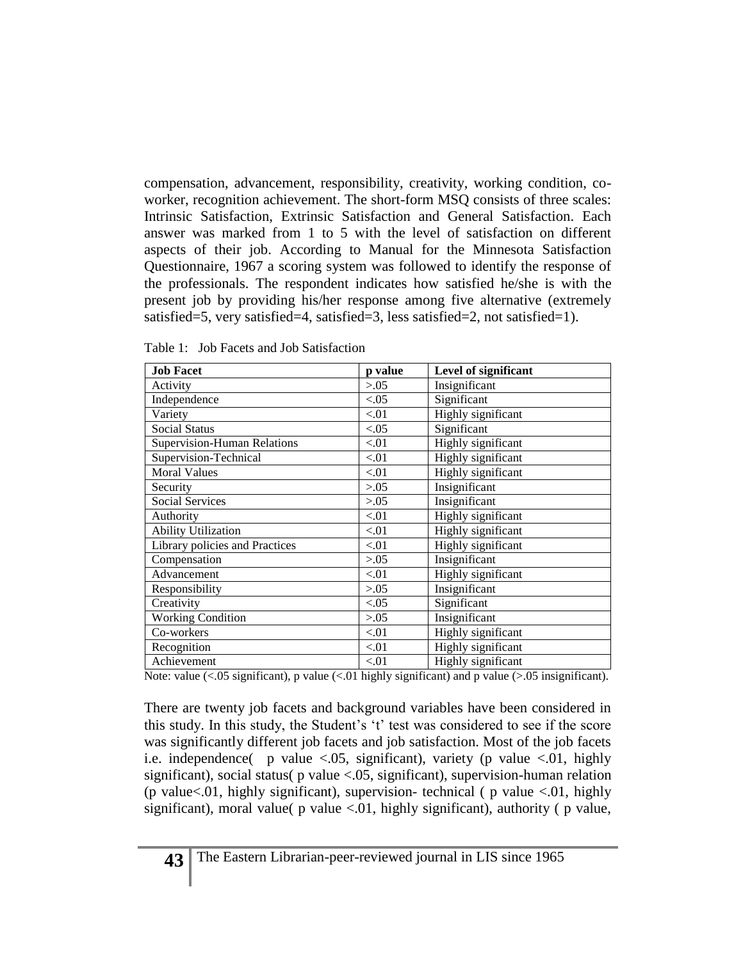compensation, advancement, responsibility, creativity, working condition, coworker, recognition achievement. The short-form MSQ consists of three scales: Intrinsic Satisfaction, Extrinsic Satisfaction and General Satisfaction. Each answer was marked from 1 to 5 with the level of satisfaction on different aspects of their job. According to Manual for the Minnesota Satisfaction Questionnaire, 1967 a scoring system was followed to identify the response of the professionals. The respondent indicates how satisfied he/she is with the present job by providing his/her response among five alternative (extremely satisfied=5, very satisfied=4, satisfied=3, less satisfied=2, not satisfied=1).

| <b>Job Facet</b>               | p value | Level of significant |  |
|--------------------------------|---------|----------------------|--|
| Activity                       | > 0.05  | Insignificant        |  |
| Independence                   | < 0.05  | Significant          |  |
| Variety                        | < 01    | Highly significant   |  |
| <b>Social Status</b>           | < 0.05  | Significant          |  |
| Supervision-Human Relations    | < 01    | Highly significant   |  |
| Supervision-Technical          | < 01    | Highly significant   |  |
| <b>Moral Values</b>            | < 01    | Highly significant   |  |
| Security                       | > 0.05  | Insignificant        |  |
| <b>Social Services</b>         | > 0.05  | Insignificant        |  |
| Authority                      | < 01    | Highly significant   |  |
| <b>Ability Utilization</b>     | < 01    | Highly significant   |  |
| Library policies and Practices | < 01    | Highly significant   |  |
| Compensation                   | > 0.05  | Insignificant        |  |
| Advancement                    | < 01    | Highly significant   |  |
| Responsibility                 | > 0.05  | Insignificant        |  |
| Creativity                     | < 0.05  | Significant          |  |
| <b>Working Condition</b>       | > 0.05  | Insignificant        |  |
| Co-workers                     | < 01    | Highly significant   |  |
| Recognition                    | < 01    | Highly significant   |  |
| Achievement                    | < 01    | Highly significant   |  |

Table 1: Job Facets and Job Satisfaction

Note: value  $\langle \langle .05 \rangle$  significant), p value  $\langle \langle .01 \rangle$  highly significant) and p value  $\langle \rangle$ .05 insignificant).

There are twenty job facets and background variables have been considered in this study. In this study, the Student's 't' test was considered to see if the score was significantly different job facets and job satisfaction. Most of the job facets i.e. independence( p value  $\langle .05,$  significant), variety (p value  $\langle .01,$  highly significant), social status( p value <.05, significant), supervision-human relation (p value $\leq 0.01$ , highly significant), supervision- technical (p value  $\leq 0.01$ , highly significant), moral value( $p$  value <.01, highly significant), authority ( $p$  value,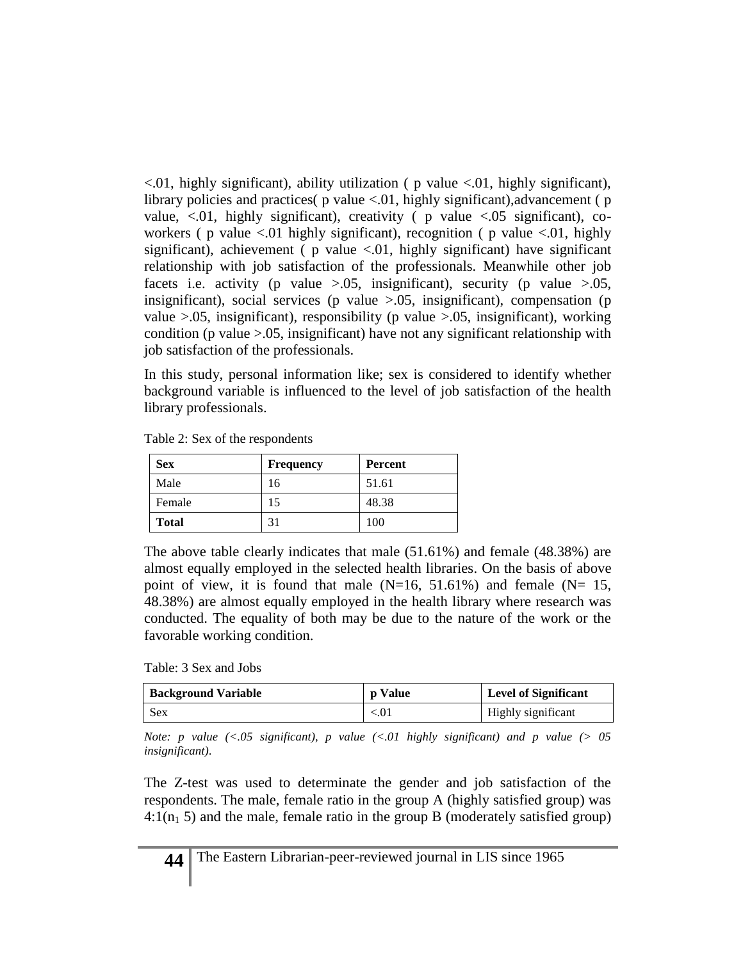$\langle 0.01, \text{highly significant} \rangle$ , ability utilization ( p value  $\langle 0.01, \text{highly significant} \rangle$ , library policies and practices( p value <.01, highly significant), advancement ( p value,  $\langle .01, \text{ highly significant} \rangle$ , creativity ( p value  $\langle .05 \text{ significant} \rangle$ , coworkers ( $p$  value <.01 highly significant), recognition ( $p$  value <.01, highly significant), achievement ( $p$  value <.01, highly significant) have significant relationship with job satisfaction of the professionals. Meanwhile other job facets i.e. activity (p value  $>0.05$ , insignificant), security (p value  $>0.05$ , insignificant), social services (p value  $>0.05$ , insignificant), compensation (p value  $> 0.05$ , insignificant), responsibility (p value  $> 0.05$ , insignificant), working condition (p value >.05, insignificant) have not any significant relationship with job satisfaction of the professionals.

In this study, personal information like; sex is considered to identify whether background variable is influenced to the level of job satisfaction of the health library professionals.

| <b>Sex</b>   | <b>Frequency</b> | Percent |
|--------------|------------------|---------|
| Male         |                  | 51.61   |
| Female       |                  | 48.38   |
| <b>Total</b> | 31               | 100     |

Table 2: Sex of the respondents

The above table clearly indicates that male (51.61%) and female (48.38%) are almost equally employed in the selected health libraries. On the basis of above point of view, it is found that male  $(N=16, 51.61%)$  and female  $(N= 15, 10.61%)$ 48.38%) are almost equally employed in the health library where research was conducted. The equality of both may be due to the nature of the work or the favorable working condition.

Table: 3 Sex and Jobs

| <b>Background Variable</b> | p Value | <b>Level of Significant</b> |
|----------------------------|---------|-----------------------------|
| Sex                        |         | Highly significant          |

*Note: p value (<.05 significant), p value (<.01 highly significant) and p value (> 05 insignificant)*.

The Z-test was used to determinate the gender and job satisfaction of the respondents. The male, female ratio in the group A (highly satisfied group) was  $4:1(n_1 5)$  and the male, female ratio in the group B (moderately satisfied group)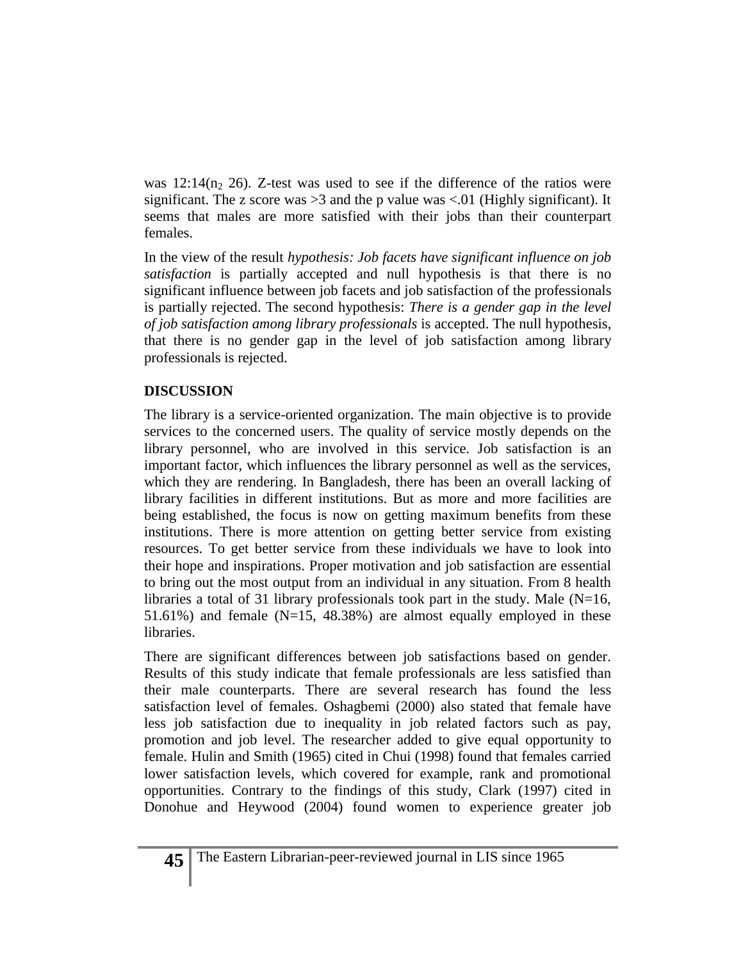was  $12:14(n<sub>2</sub> 26)$ . Z-test was used to see if the difference of the ratios were significant. The z score was  $>3$  and the p value was  $< 01$  (Highly significant). It seems that males are more satisfied with their jobs than their counterpart females.

In the view of the result *hypothesis: Job facets have significant influence on job satisfaction* is partially accepted and null hypothesis is that there is no significant influence between job facets and job satisfaction of the professionals is partially rejected. The second hypothesis: *There is a gender gap in the level of job satisfaction among library professionals* is accepted. The null hypothesis, that there is no gender gap in the level of job satisfaction among library professionals is rejected.

# **DISCUSSION**

The library is a service-oriented organization. The main objective is to provide services to the concerned users. The quality of service mostly depends on the library personnel, who are involved in this service. Job satisfaction is an important factor, which influences the library personnel as well as the services, which they are rendering. In Bangladesh, there has been an overall lacking of library facilities in different institutions. But as more and more facilities are being established, the focus is now on getting maximum benefits from these institutions. There is more attention on getting better service from existing resources. To get better service from these individuals we have to look into their hope and inspirations. Proper motivation and job satisfaction are essential to bring out the most output from an individual in any situation. From 8 health libraries a total of 31 library professionals took part in the study. Male  $(N=16, 16)$ 51.61%) and female  $(N=15, 48.38%)$  are almost equally employed in these libraries.

There are significant differences between job satisfactions based on gender. Results of this study indicate that female professionals are less satisfied than their male counterparts. There are several research has found the less satisfaction level of females. Oshagbemi (2000) also stated that female have less job satisfaction due to inequality in job related factors such as pay, promotion and job level. The researcher added to give equal opportunity to female. Hulin and Smith (1965) cited in Chui (1998) found that females carried lower satisfaction levels, which covered for example, rank and promotional opportunities. Contrary to the findings of this study, Clark (1997) cited in Donohue and Heywood (2004) found women to experience greater job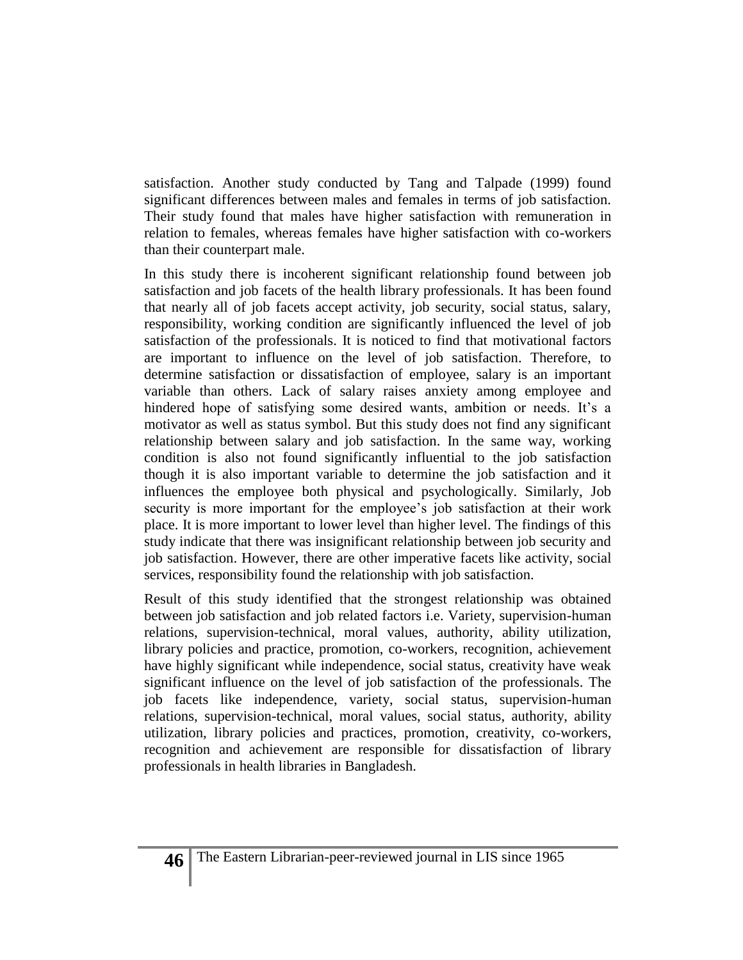satisfaction. Another study conducted by Tang and Talpade (1999) found significant differences between males and females in terms of job satisfaction. Their study found that males have higher satisfaction with remuneration in relation to females, whereas females have higher satisfaction with co-workers than their counterpart male.

In this study there is incoherent significant relationship found between job satisfaction and job facets of the health library professionals. It has been found that nearly all of job facets accept activity, job security, social status, salary, responsibility, working condition are significantly influenced the level of job satisfaction of the professionals. It is noticed to find that motivational factors are important to influence on the level of job satisfaction. Therefore, to determine satisfaction or dissatisfaction of employee, salary is an important variable than others. Lack of salary raises anxiety among employee and hindered hope of satisfying some desired wants, ambition or needs. It's a motivator as well as status symbol. But this study does not find any significant relationship between salary and job satisfaction. In the same way, working condition is also not found significantly influential to the job satisfaction though it is also important variable to determine the job satisfaction and it influences the employee both physical and psychologically. Similarly, Job security is more important for the employee's job satisfaction at their work place. It is more important to lower level than higher level. The findings of this study indicate that there was insignificant relationship between job security and job satisfaction. However, there are other imperative facets like activity, social services, responsibility found the relationship with job satisfaction.

Result of this study identified that the strongest relationship was obtained between job satisfaction and job related factors i.e. Variety, supervision-human relations, supervision-technical, moral values, authority, ability utilization, library policies and practice, promotion, co-workers, recognition, achievement have highly significant while independence, social status, creativity have weak significant influence on the level of job satisfaction of the professionals. The job facets like independence, variety, social status, supervision-human relations, supervision-technical, moral values, social status, authority, ability utilization, library policies and practices, promotion, creativity, co-workers, recognition and achievement are responsible for dissatisfaction of library professionals in health libraries in Bangladesh.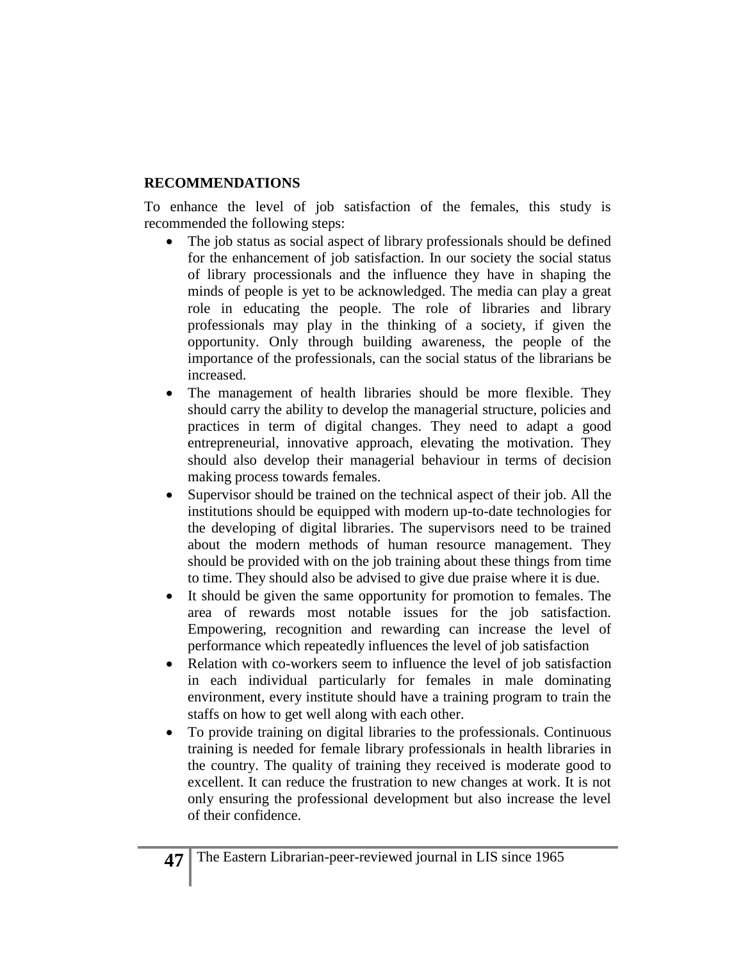#### **RECOMMENDATIONS**

To enhance the level of job satisfaction of the females, this study is recommended the following steps:

- The job status as social aspect of library professionals should be defined for the enhancement of job satisfaction. In our society the social status of library processionals and the influence they have in shaping the minds of people is yet to be acknowledged. The media can play a great role in educating the people. The role of libraries and library professionals may play in the thinking of a society, if given the opportunity. Only through building awareness, the people of the importance of the professionals, can the social status of the librarians be increased.
- The management of health libraries should be more flexible. They should carry the ability to develop the managerial structure, policies and practices in term of digital changes. They need to adapt a good entrepreneurial, innovative approach, elevating the motivation. They should also develop their managerial behaviour in terms of decision making process towards females.
- Supervisor should be trained on the technical aspect of their job. All the institutions should be equipped with modern up-to-date technologies for the developing of digital libraries. The supervisors need to be trained about the modern methods of human resource management. They should be provided with on the job training about these things from time to time. They should also be advised to give due praise where it is due.
- It should be given the same opportunity for promotion to females. The area of rewards most notable issues for the job satisfaction. Empowering, recognition and rewarding can increase the level of performance which repeatedly influences the level of job satisfaction
- Relation with co-workers seem to influence the level of job satisfaction in each individual particularly for females in male dominating environment, every institute should have a training program to train the staffs on how to get well along with each other.
- To provide training on digital libraries to the professionals. Continuous training is needed for female library professionals in health libraries in the country. The quality of training they received is moderate good to excellent. It can reduce the frustration to new changes at work. It is not only ensuring the professional development but also increase the level of their confidence.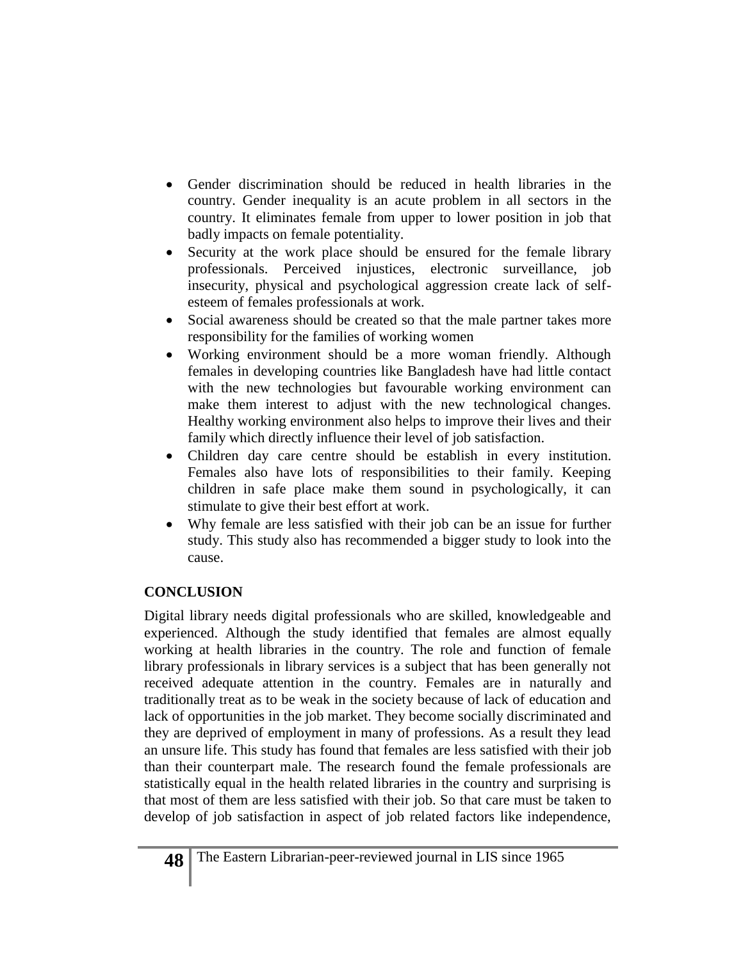- Gender discrimination should be reduced in health libraries in the country. Gender inequality is an acute problem in all sectors in the country. It eliminates female from upper to lower position in job that badly impacts on female potentiality.
- Security at the work place should be ensured for the female library professionals. Perceived injustices, electronic surveillance, job insecurity, physical and psychological aggression create lack of selfesteem of females professionals at work.
- Social awareness should be created so that the male partner takes more responsibility for the families of working women
- Working environment should be a more woman friendly. Although females in developing countries like Bangladesh have had little contact with the new technologies but favourable working environment can make them interest to adjust with the new technological changes. Healthy working environment also helps to improve their lives and their family which directly influence their level of job satisfaction.
- Children day care centre should be establish in every institution. Females also have lots of responsibilities to their family. Keeping children in safe place make them sound in psychologically, it can stimulate to give their best effort at work.
- Why female are less satisfied with their job can be an issue for further study. This study also has recommended a bigger study to look into the cause.

# **CONCLUSION**

Digital library needs digital professionals who are skilled, knowledgeable and experienced. Although the study identified that females are almost equally working at health libraries in the country. The role and function of female library professionals in library services is a subject that has been generally not received adequate attention in the country. Females are in naturally and traditionally treat as to be weak in the society because of lack of education and lack of opportunities in the job market. They become socially discriminated and they are deprived of employment in many of professions. As a result they lead an unsure life. This study has found that females are less satisfied with their job than their counterpart male. The research found the female professionals are statistically equal in the health related libraries in the country and surprising is that most of them are less satisfied with their job. So that care must be taken to develop of job satisfaction in aspect of job related factors like independence,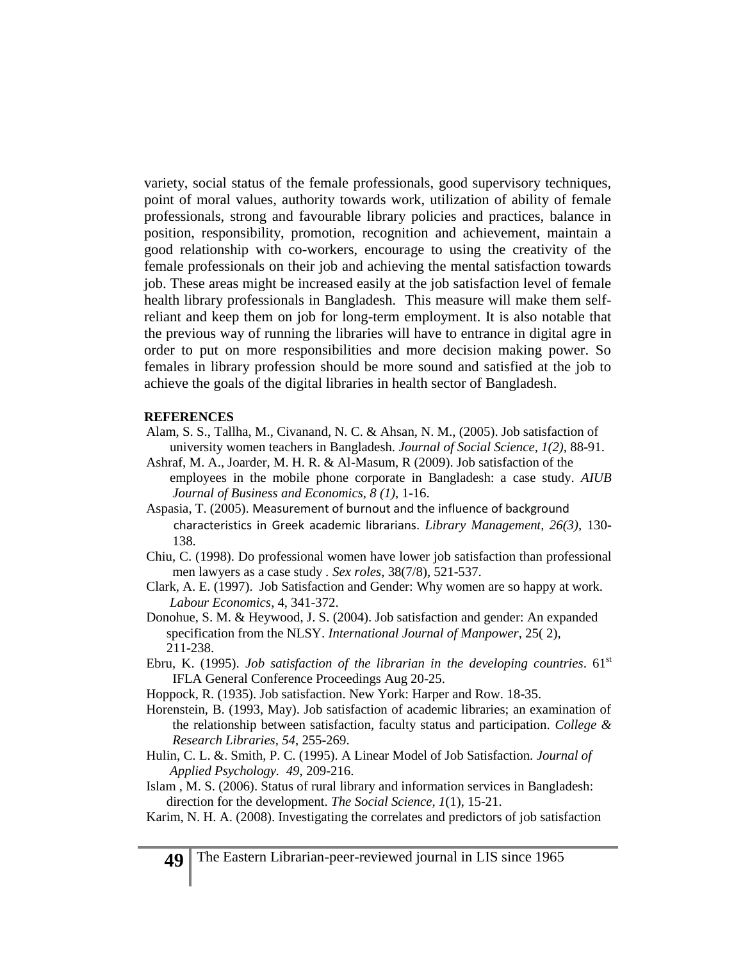variety, social status of the female professionals, good supervisory techniques, point of moral values, authority towards work, utilization of ability of female professionals, strong and favourable library policies and practices, balance in position, responsibility, promotion, recognition and achievement, maintain a good relationship with co-workers, encourage to using the creativity of the female professionals on their job and achieving the mental satisfaction towards job. These areas might be increased easily at the job satisfaction level of female health library professionals in Bangladesh. This measure will make them selfreliant and keep them on job for long-term employment. It is also notable that the previous way of running the libraries will have to entrance in digital agre in order to put on more responsibilities and more decision making power. So females in library profession should be more sound and satisfied at the job to achieve the goals of the digital libraries in health sector of Bangladesh.

#### **REFERENCES**

- Alam, S. S., Tallha, M., Civanand, N. C. & Ahsan, N. M., (2005). Job satisfaction of university women teachers in Bangladesh. *Journal of Social Science, 1(2)*, 88-91.
- Ashraf, M. A., Joarder, M. H. R. & Al-Masum, R (2009). Job satisfaction of the employees in the mobile phone corporate in Bangladesh: a case study. *AIUB Journal of Business and Economics, 8 (1)*, 1-16.
- Aspasia, T. (2005). Measurement of burnout and the influence of background characteristics in Greek academic librarians. *Library Management, 26(3)*, 130- 138.
- Chiu, C. (1998). Do professional women have lower job satisfaction than professional men lawyers as a case study *. Sex roles*, 38(7/8), 521-537.
- Clark, A. E. (1997). Job Satisfaction and Gender: Why women are so happy at work.  *Labour Economics*, 4, 341-372.
- Donohue, S. M. & Heywood, J. S. (2004). Job satisfaction and gender: An expanded specification from the NLSY. *International Journal of Manpower*, 25( 2), 211-238.
- Ebru, K. (1995). *Job satisfaction of the librarian in the developing countries*.  $61<sup>st</sup>$ IFLA General Conference Proceedings Aug 20-25.
- Hoppock, R. (1935). Job satisfaction. New York: Harper and Row. 18-35.
- Horenstein, B. (1993, May). Job satisfaction of academic libraries; an examination of the relationship between satisfaction, faculty status and participation. *College & Research Libraries, 54*, 255-269.
- Hulin, C. L. &. Smith, P. C. (1995). A Linear Model of Job Satisfaction. *Journal of Applied Psychology. 49*, 209-216.
- Islam , M. S. (2006). Status of rural library and information services in Bangladesh: direction for the development. *The Social Science, 1*(1), 15-21.
- Karim, N. H. A. (2008). Investigating the correlates and predictors of job satisfaction